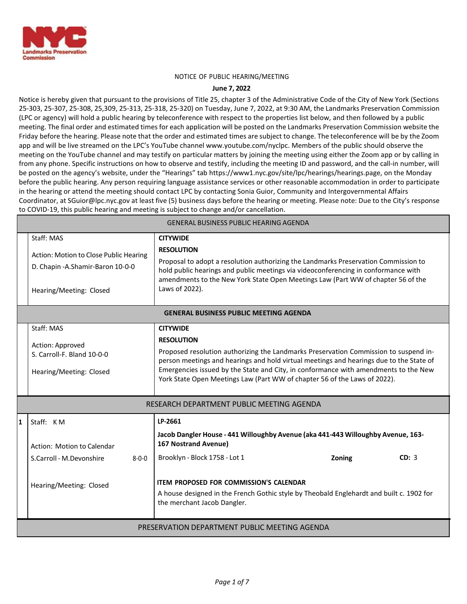

#### NOTICE OF PUBLIC HEARING/MEETING

#### **June 7, 2022**

Notice is hereby given that pursuant to the provisions of Title 25, chapter 3 of the Administrative Code of the City of New York (Sections 25-303, 25-307, 25-308, 25,309, 25-313, 25-318, 25-320) on Tuesday, June 7, 2022, at 9:30 AM, the Landmarks Preservation Commission (LPC or agency) will hold a public hearing by teleconference with respect to the properties list below, and then followed by a public meeting. The final order and estimated times for each application will be posted on the Landmarks Preservation Commission website the Friday before the hearing. Please note that the order and estimated times are subject to change. The teleconference will be by the Zoom app and will be live streamed on the LPC's YouTube channe[l www.youtube.com/nyclpc. M](http://www.youtube.com/nyclpc)embers of the public should observe the meeting on the YouTube channel and may testify on particular matters by joining the meeting using either the Zoom app or by calling in from any phone. Specific instructions on how to observe and testify, including the meeting ID and password, and the call-in number, will be posted on the agency's website, under the "Hearings" tab https://www1.nyc.gov/site/lpc/hearings/hearings.page, on the Monday before the public hearing. Any person requiring language assistance services or other reasonable accommodation in order to participate in the hearing or attend the meeting should contact LPC by contacting Sonia Guior, Community and Intergovernmental Affairs Coordinator, at [SGuior@lpc.nyc.gov](mailto:SGuior@lpc.nyc.gov) at least five (5) business days before the hearing or meeting. Please note: Due to the City's response to COVID-19, this public hearing and meeting is subject to change and/or cancellation.

| <b>GENERAL BUSINESS PUBLIC HEARING AGENDA</b> |                                                                                                                       |                                                                                                                                                                                                                                                                                                                                                                                             |  |  |  |
|-----------------------------------------------|-----------------------------------------------------------------------------------------------------------------------|---------------------------------------------------------------------------------------------------------------------------------------------------------------------------------------------------------------------------------------------------------------------------------------------------------------------------------------------------------------------------------------------|--|--|--|
|                                               | Staff: MAS<br>Action: Motion to Close Public Hearing<br>D. Chapin - A. Shamir-Baron 10-0-0<br>Hearing/Meeting: Closed | <b>CITYWIDE</b><br><b>RESOLUTION</b><br>Proposal to adopt a resolution authorizing the Landmarks Preservation Commission to<br>hold public hearings and public meetings via videoconferencing in conformance with<br>amendments to the New York State Open Meetings Law (Part WW of chapter 56 of the<br>Laws of 2022).                                                                     |  |  |  |
|                                               | <b>GENERAL BUSINESS PUBLIC MEETING AGENDA</b>                                                                         |                                                                                                                                                                                                                                                                                                                                                                                             |  |  |  |
|                                               | Staff: MAS<br>Action: Approved<br>S. Carroll-F. Bland 10-0-0<br>Hearing/Meeting: Closed                               | <b>CITYWIDE</b><br><b>RESOLUTION</b><br>Proposed resolution authorizing the Landmarks Preservation Commission to suspend in-<br>person meetings and hearings and hold virtual meetings and hearings due to the State of<br>Emergencies issued by the State and City, in conformance with amendments to the New<br>York State Open Meetings Law (Part WW of chapter 56 of the Laws of 2022). |  |  |  |
| RESEARCH DEPARTMENT PUBLIC MEETING AGENDA     |                                                                                                                       |                                                                                                                                                                                                                                                                                                                                                                                             |  |  |  |
| $\mathbf{1}$                                  | Staff: KM<br>Action: Motion to Calendar<br>S.Carroll - M.Devonshire<br>$8 - 0 - 0$<br>Hearing/Meeting: Closed         | LP-2661<br>Jacob Dangler House - 441 Willoughby Avenue (aka 441-443 Willoughby Avenue, 163-<br><b>167 Nostrand Avenue)</b><br>Brooklyn - Block 1758 - Lot 1<br>CD: 3<br>Zoning<br><b>ITEM PROPOSED FOR COMMISSION'S CALENDAR</b><br>A house designed in the French Gothic style by Theobald Englehardt and built c. 1902 for<br>the merchant Jacob Dangler.                                 |  |  |  |
| PRESERVATION DEPARTMENT PUBLIC MEETING AGENDA |                                                                                                                       |                                                                                                                                                                                                                                                                                                                                                                                             |  |  |  |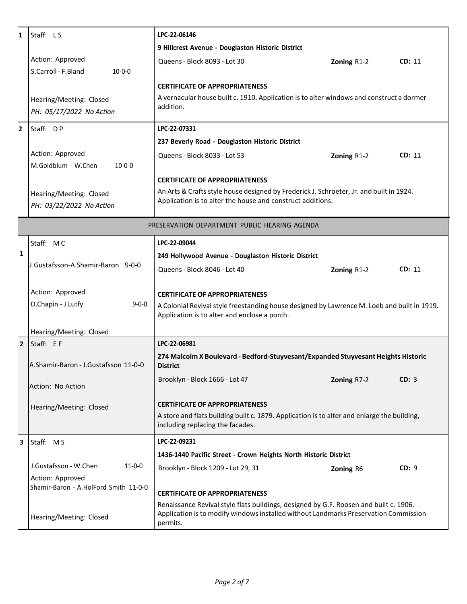| 11           | Staff: LS                                                 | LPC-22-06146                                                                                                                                                                              |             |        |  |
|--------------|-----------------------------------------------------------|-------------------------------------------------------------------------------------------------------------------------------------------------------------------------------------------|-------------|--------|--|
|              |                                                           | 9 Hillcrest Avenue - Douglaston Historic District                                                                                                                                         |             |        |  |
|              | Action: Approved<br>S.Carroll - F.Bland<br>$10 - 0 - 0$   | Queens - Block 8093 - Lot 30                                                                                                                                                              | Zoning R1-2 | CD: 11 |  |
|              |                                                           | <b>CERTIFICATE OF APPROPRIATENESS</b>                                                                                                                                                     |             |        |  |
|              | Hearing/Meeting: Closed<br>PH: 05/17/2022 No Action       | A vernacular house built c. 1910. Application is to alter windows and construct a dormer<br>addition.                                                                                     |             |        |  |
| 12           | Staff: DP                                                 | LPC-22-07331                                                                                                                                                                              |             |        |  |
|              |                                                           | 237 Beverly Road - Douglaston Historic District                                                                                                                                           |             |        |  |
|              | Action: Approved<br>M.Goldblum - W.Chen<br>$10 - 0 - 0$   | Queens - Block 8033 - Lot 53                                                                                                                                                              | Zoning R1-2 | CD: 11 |  |
|              |                                                           | <b>CERTIFICATE OF APPROPRIATENESS</b>                                                                                                                                                     |             |        |  |
|              | Hearing/Meeting: Closed<br>PH: 03/22/2022 No Action       | An Arts & Crafts style house designed by Frederick J. Schroeter, Jr. and built in 1924.<br>Application is to alter the house and construct additions.                                     |             |        |  |
|              | PRESERVATION DEPARTMENT PUBLIC HEARING AGENDA             |                                                                                                                                                                                           |             |        |  |
|              | Staff: MC                                                 | LPC-22-09044                                                                                                                                                                              |             |        |  |
| $\mathbf{1}$ |                                                           | 249 Hollywood Avenue - Douglaston Historic District                                                                                                                                       |             |        |  |
|              | J.Gustafsson-A.Shamir-Baron 9-0-0                         | Queens - Block 8046 - Lot 40                                                                                                                                                              | Zoning R1-2 | CD: 11 |  |
|              | Action: Approved                                          | <b>CERTIFICATE OF APPROPRIATENESS</b>                                                                                                                                                     |             |        |  |
|              | D.Chapin - J.Lutfy<br>$9 - 0 - 0$                         | A Colonial Revival style freestanding house designed by Lawrence M. Loeb and built in 1919.<br>Application is to alter and enclose a porch.                                               |             |        |  |
|              | Hearing/Meeting: Closed                                   |                                                                                                                                                                                           |             |        |  |
| $\mathbf{2}$ | Staff: EF                                                 | LPC-22-06981                                                                                                                                                                              |             |        |  |
|              | A.Shamir-Baron - J.Gustafsson 11-0-0                      | 274 Malcolm X Boulevard - Bedford-Stuyvesant/Expanded Stuyvesant Heights Historic<br><b>District</b>                                                                                      |             |        |  |
|              | Action: No Action                                         | Brooklyn - Block 1666 - Lot 47                                                                                                                                                            | Zoning R7-2 | CD: 3  |  |
|              | Hearing/Meeting: Closed                                   | <b>CERTIFICATE OF APPROPRIATENESS</b>                                                                                                                                                     |             |        |  |
|              |                                                           | A store and flats building built c. 1879. Application is to alter and enlarge the building,<br>including replacing the facades.                                                           |             |        |  |
| 3            | Staff: MS                                                 | LPC-22-09231                                                                                                                                                                              |             |        |  |
|              |                                                           | 1436-1440 Pacific Street - Crown Heights North Historic District                                                                                                                          |             |        |  |
|              | J.Gustafsson - W.Chen<br>$11 - 0 - 0$                     | Brooklyn - Block 1209 - Lot 29, 31                                                                                                                                                        | Zoning R6   | CD: 9  |  |
|              | Action: Approved<br>Shamir-Baron - A.HolFord Smith 11-0-0 | <b>CERTIFICATE OF APPROPRIATENESS</b>                                                                                                                                                     |             |        |  |
|              | Hearing/Meeting: Closed                                   | Renaissance Revival style flats buildings, designed by G.F. Roosen and built c. 1906.<br>Application is to modify windows installed without Landmarks Preservation Commission<br>permits. |             |        |  |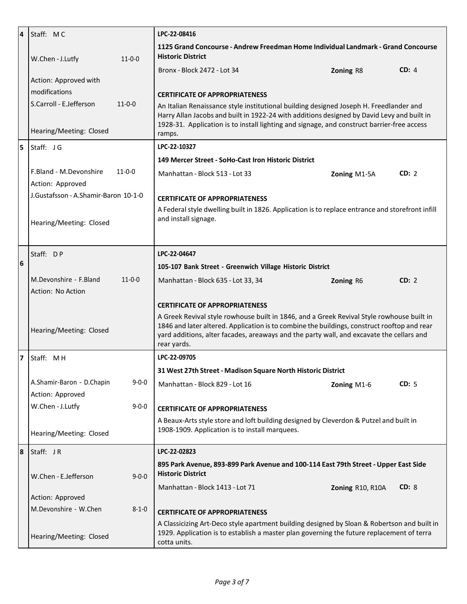| 4              | Staff: MC                                | LPC-22-08416                                                                                                                                                                                                                                                                                        |                  |       |
|----------------|------------------------------------------|-----------------------------------------------------------------------------------------------------------------------------------------------------------------------------------------------------------------------------------------------------------------------------------------------------|------------------|-------|
|                | W.Chen - J.Lutfy<br>$11 - 0 - 0$         | 1125 Grand Concourse - Andrew Freedman Home Individual Landmark - Grand Concourse<br><b>Historic District</b>                                                                                                                                                                                       |                  |       |
|                |                                          | Bronx - Block 2472 - Lot 34                                                                                                                                                                                                                                                                         | Zoning R8        | CD: 4 |
|                | Action: Approved with                    |                                                                                                                                                                                                                                                                                                     |                  |       |
|                | modifications                            | <b>CERTIFICATE OF APPROPRIATENESS</b>                                                                                                                                                                                                                                                               |                  |       |
|                | S.Carroll - E.Jefferson<br>$11 - 0 - 0$  | An Italian Renaissance style institutional building designed Joseph H. Freedlander and                                                                                                                                                                                                              |                  |       |
|                | Hearing/Meeting: Closed                  | Harry Allan Jacobs and built in 1922-24 with additions designed by David Levy and built in<br>1928-31. Application is to install lighting and signage, and construct barrier-free access<br>ramps.                                                                                                  |                  |       |
| 5              | Staff: JG                                | LPC-22-10327                                                                                                                                                                                                                                                                                        |                  |       |
|                |                                          | 149 Mercer Street - SoHo-Cast Iron Historic District                                                                                                                                                                                                                                                |                  |       |
|                | F.Bland - M.Devonshire<br>$11 - 0 - 0$   | Manhattan - Block 513 - Lot 33                                                                                                                                                                                                                                                                      | Zoning M1-5A     | CD: 2 |
|                | Action: Approved                         |                                                                                                                                                                                                                                                                                                     |                  |       |
|                | J.Gustafsson - A.Shamir-Baron 10-1-0     | <b>CERTIFICATE OF APPROPRIATENESS</b>                                                                                                                                                                                                                                                               |                  |       |
|                | Hearing/Meeting: Closed                  | A Federal style dwelling built in 1826. Application is to replace entrance and storefront infill<br>and install signage.                                                                                                                                                                            |                  |       |
|                |                                          |                                                                                                                                                                                                                                                                                                     |                  |       |
|                | Staff: DP                                | LPC-22-04647                                                                                                                                                                                                                                                                                        |                  |       |
| 6              |                                          | 105-107 Bank Street - Greenwich Village Historic District                                                                                                                                                                                                                                           |                  |       |
|                | M.Devonshire - F.Bland<br>$11 - 0 - 0$   | Manhattan - Block 635 - Lot 33, 34                                                                                                                                                                                                                                                                  | Zoning R6        | CD: 2 |
|                | Action: No Action                        |                                                                                                                                                                                                                                                                                                     |                  |       |
|                |                                          | <b>CERTIFICATE OF APPROPRIATENESS</b>                                                                                                                                                                                                                                                               |                  |       |
|                | Hearing/Meeting: Closed                  | A Greek Revival style rowhouse built in 1846, and a Greek Revival Style rowhouse built in<br>1846 and later altered. Application is to combine the buildings, construct rooftop and rear<br>yard additions, alter facades, areaways and the party wall, and excavate the cellars and<br>rear yards. |                  |       |
| $\overline{ }$ | Staff: MH                                | LPC-22-09705                                                                                                                                                                                                                                                                                        |                  |       |
|                |                                          | 31 West 27th Street - Madison Square North Historic District                                                                                                                                                                                                                                        |                  |       |
|                | $9 - 0 - 0$<br>A.Shamir-Baron - D.Chapin | Manhattan - Block 829 - Lot 16                                                                                                                                                                                                                                                                      | Zoning M1-6      | CD: 5 |
|                | Action: Approved                         |                                                                                                                                                                                                                                                                                                     |                  |       |
|                | W.Chen - J.Lutfy<br>$9 - 0 - 0$          | <b>CERTIFICATE OF APPROPRIATENESS</b>                                                                                                                                                                                                                                                               |                  |       |
|                |                                          | A Beaux-Arts style store and loft building designed by Cleverdon & Putzel and built in<br>1908-1909. Application is to install marquees.                                                                                                                                                            |                  |       |
|                | Hearing/Meeting: Closed                  |                                                                                                                                                                                                                                                                                                     |                  |       |
| 8              | Staff: JR                                | LPC-22-02823                                                                                                                                                                                                                                                                                        |                  |       |
|                | $9 - 0 - 0$<br>W.Chen - E.Jefferson      | 895 Park Avenue, 893-899 Park Avenue and 100-114 East 79th Street - Upper East Side<br><b>Historic District</b>                                                                                                                                                                                     |                  |       |
|                |                                          | Manhattan - Block 1413 - Lot 71                                                                                                                                                                                                                                                                     | Zoning R10, R10A | CD: 8 |
|                | Action: Approved                         |                                                                                                                                                                                                                                                                                                     |                  |       |
|                | M.Devonshire - W.Chen<br>$8 - 1 - 0$     | <b>CERTIFICATE OF APPROPRIATENESS</b>                                                                                                                                                                                                                                                               |                  |       |
|                | Hearing/Meeting: Closed                  | A Classicizing Art-Deco style apartment building designed by Sloan & Robertson and built in<br>1929. Application is to establish a master plan governing the future replacement of terra<br>cotta units.                                                                                            |                  |       |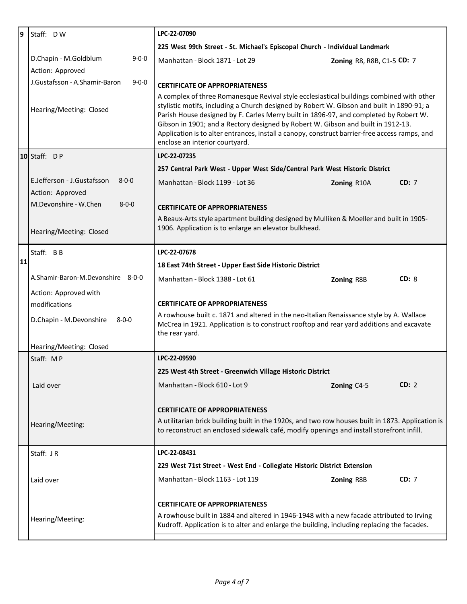| 9                                                                                                                                 | Staff: DW                                                     | LPC-22-07090                                                                                                                                                                                                                                                                                                                                                                                                                                                                                          |                            |  |
|-----------------------------------------------------------------------------------------------------------------------------------|---------------------------------------------------------------|-------------------------------------------------------------------------------------------------------------------------------------------------------------------------------------------------------------------------------------------------------------------------------------------------------------------------------------------------------------------------------------------------------------------------------------------------------------------------------------------------------|----------------------------|--|
|                                                                                                                                   |                                                               | 225 West 99th Street - St. Michael's Episcopal Church - Individual Landmark                                                                                                                                                                                                                                                                                                                                                                                                                           |                            |  |
|                                                                                                                                   | D.Chapin - M.Goldblum<br>$9 - 0 - 0$                          | Manhattan - Block 1871 - Lot 29                                                                                                                                                                                                                                                                                                                                                                                                                                                                       | Zoning R8, R8B, C1-5 CD: 7 |  |
|                                                                                                                                   | Action: Approved                                              |                                                                                                                                                                                                                                                                                                                                                                                                                                                                                                       |                            |  |
|                                                                                                                                   | J.Gustafsson - A.Shamir-Baron<br>$9 - 0 - 0$                  | <b>CERTIFICATE OF APPROPRIATENESS</b>                                                                                                                                                                                                                                                                                                                                                                                                                                                                 |                            |  |
|                                                                                                                                   | Hearing/Meeting: Closed                                       | A complex of three Romanesque Revival style ecclesiastical buildings combined with other<br>stylistic motifs, including a Church designed by Robert W. Gibson and built in 1890-91; a<br>Parish House designed by F. Carles Merry built in 1896-97, and completed by Robert W.<br>Gibson in 1901; and a Rectory designed by Robert W. Gibson and built in 1912-13.<br>Application is to alter entrances, install a canopy, construct barrier-free access ramps, and<br>enclose an interior courtyard. |                            |  |
|                                                                                                                                   | $10$ Staff: DP                                                | LPC-22-07235                                                                                                                                                                                                                                                                                                                                                                                                                                                                                          |                            |  |
|                                                                                                                                   |                                                               | 257 Central Park West - Upper West Side/Central Park West Historic District                                                                                                                                                                                                                                                                                                                                                                                                                           |                            |  |
|                                                                                                                                   | E.Jefferson - J.Gustafsson<br>$8 - 0 - 0$<br>Action: Approved | Manhattan - Block 1199 - Lot 36                                                                                                                                                                                                                                                                                                                                                                                                                                                                       | CD: 7<br>Zoning R10A       |  |
|                                                                                                                                   | M.Devonshire - W.Chen<br>$8 - 0 - 0$                          | <b>CERTIFICATE OF APPROPRIATENESS</b>                                                                                                                                                                                                                                                                                                                                                                                                                                                                 |                            |  |
|                                                                                                                                   |                                                               | A Beaux-Arts style apartment building designed by Mulliken & Moeller and built in 1905-<br>1906. Application is to enlarge an elevator bulkhead.                                                                                                                                                                                                                                                                                                                                                      |                            |  |
|                                                                                                                                   | Hearing/Meeting: Closed                                       |                                                                                                                                                                                                                                                                                                                                                                                                                                                                                                       |                            |  |
| LPC-22-07678<br>Staff: BB                                                                                                         |                                                               |                                                                                                                                                                                                                                                                                                                                                                                                                                                                                                       |                            |  |
| 11                                                                                                                                |                                                               | 18 East 74th Street - Upper East Side Historic District                                                                                                                                                                                                                                                                                                                                                                                                                                               |                            |  |
|                                                                                                                                   | A.Shamir-Baron-M.Devonshire 8-0-0                             | Manhattan - Block 1388 - Lot 61                                                                                                                                                                                                                                                                                                                                                                                                                                                                       | CD: 8<br>Zoning R8B        |  |
|                                                                                                                                   | Action: Approved with                                         |                                                                                                                                                                                                                                                                                                                                                                                                                                                                                                       |                            |  |
|                                                                                                                                   | modifications                                                 | <b>CERTIFICATE OF APPROPRIATENESS</b>                                                                                                                                                                                                                                                                                                                                                                                                                                                                 |                            |  |
|                                                                                                                                   | D.Chapin - M.Devonshire<br>$8 - 0 - 0$                        | A rowhouse built c. 1871 and altered in the neo-Italian Renaissance style by A. Wallace<br>McCrea in 1921. Application is to construct rooftop and rear yard additions and excavate<br>the rear yard.                                                                                                                                                                                                                                                                                                 |                            |  |
|                                                                                                                                   | Hearing/Meeting: Closed                                       |                                                                                                                                                                                                                                                                                                                                                                                                                                                                                                       |                            |  |
|                                                                                                                                   | Staff: MP                                                     | LPC-22-09590                                                                                                                                                                                                                                                                                                                                                                                                                                                                                          |                            |  |
|                                                                                                                                   |                                                               | 225 West 4th Street - Greenwich Village Historic District                                                                                                                                                                                                                                                                                                                                                                                                                                             |                            |  |
|                                                                                                                                   | Laid over                                                     | Manhattan - Block 610 - Lot 9                                                                                                                                                                                                                                                                                                                                                                                                                                                                         | CD: 2<br>Zoning C4-5       |  |
|                                                                                                                                   |                                                               | <b>CERTIFICATE OF APPROPRIATENESS</b>                                                                                                                                                                                                                                                                                                                                                                                                                                                                 |                            |  |
|                                                                                                                                   | Hearing/Meeting:                                              | A utilitarian brick building built in the 1920s, and two row houses built in 1873. Application is<br>to reconstruct an enclosed sidewalk café, modify openings and install storefront infill.                                                                                                                                                                                                                                                                                                         |                            |  |
|                                                                                                                                   | Staff: JR                                                     | LPC-22-08431                                                                                                                                                                                                                                                                                                                                                                                                                                                                                          |                            |  |
|                                                                                                                                   |                                                               | 229 West 71st Street - West End - Collegiate Historic District Extension                                                                                                                                                                                                                                                                                                                                                                                                                              |                            |  |
|                                                                                                                                   | Laid over                                                     | Manhattan - Block 1163 - Lot 119                                                                                                                                                                                                                                                                                                                                                                                                                                                                      | <b>CD: 7</b><br>Zoning R8B |  |
| <b>CERTIFICATE OF APPROPRIATENESS</b><br>A rowhouse built in 1884 and altered in 1946-1948 with a new facade attributed to Irving |                                                               |                                                                                                                                                                                                                                                                                                                                                                                                                                                                                                       |                            |  |
|                                                                                                                                   |                                                               |                                                                                                                                                                                                                                                                                                                                                                                                                                                                                                       |                            |  |
|                                                                                                                                   | Hearing/Meeting:                                              | Kudroff. Application is to alter and enlarge the building, including replacing the facades.                                                                                                                                                                                                                                                                                                                                                                                                           |                            |  |
|                                                                                                                                   |                                                               |                                                                                                                                                                                                                                                                                                                                                                                                                                                                                                       |                            |  |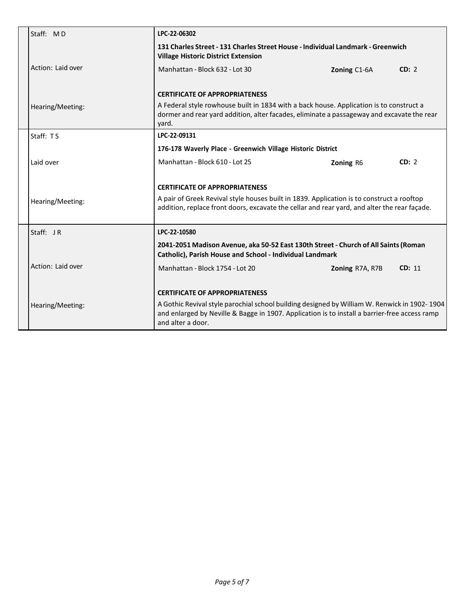| Staff: MD                             | LPC-22-06302                                                                                                                                                                                                                       |                 |        |
|---------------------------------------|------------------------------------------------------------------------------------------------------------------------------------------------------------------------------------------------------------------------------------|-----------------|--------|
|                                       | 131 Charles Street - 131 Charles Street House - Individual Landmark - Greenwich<br><b>Village Historic District Extension</b>                                                                                                      |                 |        |
| Action: Laid over                     | Manhattan - Block 632 - Lot 30                                                                                                                                                                                                     | Zoning C1-6A    | CD: 2  |
|                                       | <b>CERTIFICATE OF APPROPRIATENESS</b>                                                                                                                                                                                              |                 |        |
| Hearing/Meeting:                      | A Federal style rowhouse built in 1834 with a back house. Application is to construct a<br>dormer and rear yard addition, alter facades, eliminate a passageway and excavate the rear<br>yard.                                     |                 |        |
| Staff: TS                             | LPC-22-09131<br>176-178 Waverly Place - Greenwich Village Historic District                                                                                                                                                        |                 |        |
|                                       |                                                                                                                                                                                                                                    |                 |        |
| Laid over                             | Manhattan - Block 610 - Lot 25                                                                                                                                                                                                     | Zoning R6       | CD: 2  |
|                                       | <b>CERTIFICATE OF APPROPRIATENESS</b><br>A pair of Greek Revival style houses built in 1839. Application is to construct a rooftop<br>addition, replace front doors, excavate the cellar and rear yard, and alter the rear façade. |                 |        |
| Hearing/Meeting:                      |                                                                                                                                                                                                                                    |                 |        |
| Staff: $JR$                           | LPC-22-10580                                                                                                                                                                                                                       |                 |        |
|                                       | 2041-2051 Madison Avenue, aka 50-52 East 130th Street - Church of All Saints (Roman<br>Catholic), Parish House and School - Individual Landmark                                                                                    |                 |        |
| Action: Laid over                     | Manhattan - Block 1754 - Lot 20                                                                                                                                                                                                    | Zoning R7A, R7B | CD: 11 |
| <b>CERTIFICATE OF APPROPRIATENESS</b> |                                                                                                                                                                                                                                    |                 |        |
| Hearing/Meeting:                      | A Gothic Revival style parochial school building designed by William W. Renwick in 1902-1904<br>and enlarged by Neville & Bagge in 1907. Application is to install a barrier-free access ramp<br>and alter a door.                 |                 |        |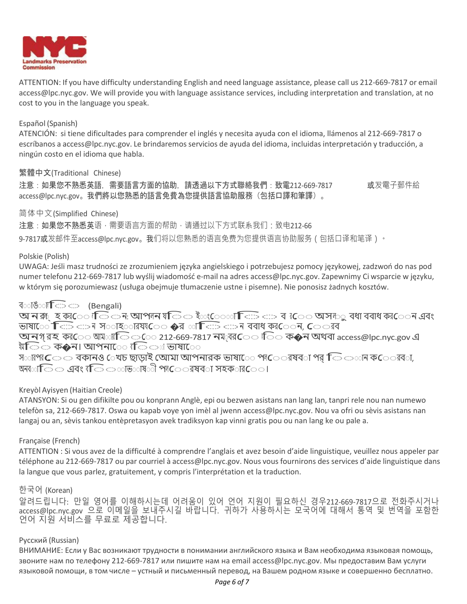

ATTENTION: If you have difficulty understanding English and need language assistance, please call us 212-669-7817 or email [access@lpc.nyc.gov. W](mailto:access@lpc.nyc.gov)e will provide you with language assistance services, including interpretation and translation, at no cost to you in the language you speak.

## Español (Spanish)

ATENCIÓN: si tiene dificultades para comprender el inglés y necesita ayuda con el idioma, llámenos al 212-669-7817 o escríbanos a [access@lpc.nyc.gov.](mailto:access@lpc.nyc.gov) Le brindaremos servicios de ayuda del idioma, incluidas interpretación y traducción, a ningún costo en el idioma que habla.

# 繁體中文(Traditional Chinese)

注意:如果您不熟悉英語,需要語言方面的協助,請透過以下方式聯絡我們:致電212-669-7817 或发電子郵件給 [access@lpc.nyc.gov](mailto:access@lpc.nyc.gov)。我們將以您熟悉的語言免費為您提供語言協助服務(包括口譯和筆譯)。

## 简体中文(Simplified Chinese)

注意:如果您不熟悉英语,需要语言方面的帮助,请通过以下方式联系我们:致电212-66

9-7817或发邮件至[access@lpc.nyc.gov](mailto:9-7817%E6%88%96%E5%8F%91%E9%82%AE%E4%BB%B6%E8%87%B3access@lpc.nyc.gov)。我们将以您熟悉的语言免费为您提供语言协助服务(包括口译和笔译)。

## Polskie (Polish)

UWAGA: Jeśli masz trudności ze zrozumieniem języka angielskiego i potrzebujesz pomocy językowej, zadzwoń do nas pod numer telefonu 212-669-7817 lub wyślij wiadomość e-mail na adres [access@lpc.nyc.gov.](mailto:access@lpc.nyc.gov) Zapewnimy Ci wsparcie w języku, w którym się porozumiewasz (usługa obejmuje tłumaczenie ustne i pisemne). Nie ponosisz żadnych kosztów.

## ব**াঙ**া তি (Bengali)

বতাঙ্গাতি ় (Bengali)<br>অনর্গ্ হর্জ্োতি াতি মাপানয়তি ইতংেত্যাতিত আন্তর্গ রে⊝ অসাতু বধা ববাধ করে নে এবং<br>ভাষ্ট্রে নিজে আনু স্তর্জির বিষ্ট্রে এবং গ্রান্টিডে আনু বর্ষে কর্তি নে এবং ভাততান করে তেনিব্রুনা)<br>অনক্ষ্ হক্ষ্েো তি ায় আপান যতি া ইতং্ো কিত করে বে ধিত অসাত<br>ভাষাতে কিতি আমার্ছিক করে ১৭২.০০ সংখ্যালয়ৰ বিভাগত কর্ম ভাষায় ভাষাতে কিত্র ক্রান্স সতাহতারয়া⊂ে �র অক্রিত ক্রান্স ববাধ কর**েন, ে**্রার<br>অনগরহ কর**ে আম**াতি ্তি 212-669-7817 নম্বর**ে** াতি ক�ন অথবা [access@lpc.nyc.gov](mailto:access@lpc.nyc.gov) এ

শ্বতি ক�ন। আপনাে ে বিি্∞া ভাষাে

স $\circ$ ারপর $\mathsf{C}$ ে বকানও েখচ ছাড়াই অোমা আপনারক ভাষা $\mathsf{C}$ ে পা $\mathsf{C}$ েরষব $\circ$ া পর্ $\mathsf{C}$ েতান ক $\mathsf{C}$ েরব $\circ$ া, অন্যাত িত এবং বক্তি ততাভ**াষ**ী পাতে রষব**া সহক**ার**ে**।

# Kreyòl Ayisyen (Haitian Creole)

ATANSYON: Si ou gen difikilte pou ou konprann Anglè, epi ou bezwen asistans nan lang lan, tanpri rele nou nan numewo telefòn sa, 212-669-7817. Oswa ou kapab voye yon imèl al jwenn [access@lpc.nyc.gov. N](mailto:access@lpc.nyc.gov)ou va ofri ou sèvis asistans nan langaj ou an, sèvis tankou entèpretasyon avek tradiksyon kap vinni gratis pou ou nan lang ke ou pale a.

## Française (French)

ATTENTION : Si vous avez de la difficulté à comprendre l'anglais et avez besoin d'aide linguistique, veuillez nous appeler par téléphone au 212-669-7817 ou par courriel à [access@lpc.nyc.gov.](mailto:access@lpc.nyc.gov) Nous vous fournirons des services d'aide linguistique dans la langue que vous parlez, gratuitement, y compris l'interprétation et la traduction.

# 한국어 (Korean)

알려드립니다: 만일 영어를 이해하시는데 어려움이 있어 언어 지원이 필요하신 경우212-669-7817으로 전화주시거나 [access@lpc.nyc.gov](mailto:access@lpc.nyc.gov) 으로 이메일을 보내주시길 바랍니다. 귀하가 사용하시는 모국어에 대해서 통역 및 번역을 포함한 언어 지원 서비스를 무료로 제공합니다.

## Русский (Russian)

ВНИМАНИЕ: Если у Вас возникают трудности в понимании английского языка и Вам необходима языковая помощь, звоните нам по телефону 212-669-7817 или пишите нам на email [access@lpc.nyc.gov.](mailto:access@lpc.nyc.gov) Мы предоставим Вам услуги языковой помощи, в том числе – устный и письменный перевод, на Вашем родном языке и совершенно бесплатно.